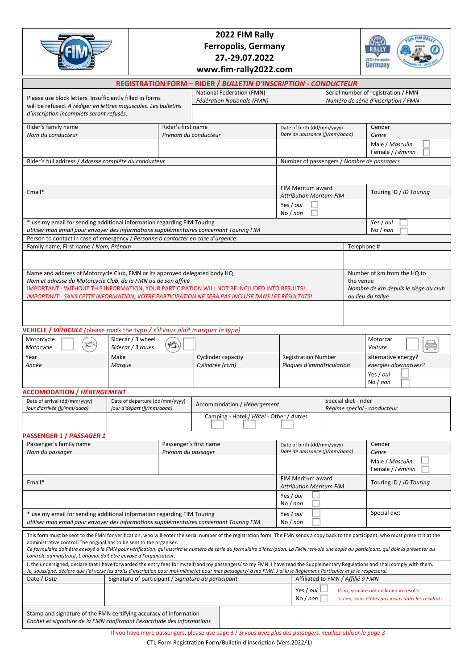| 2022 FIM Rally                                                                                                                                                                                                                                                                                                                                                                                                                                                                                                                         |                                                     |                                              |                                                                                                               |                                                              |                                                                                                                        |                        |                                     |  |  |
|----------------------------------------------------------------------------------------------------------------------------------------------------------------------------------------------------------------------------------------------------------------------------------------------------------------------------------------------------------------------------------------------------------------------------------------------------------------------------------------------------------------------------------------|-----------------------------------------------------|----------------------------------------------|---------------------------------------------------------------------------------------------------------------|--------------------------------------------------------------|------------------------------------------------------------------------------------------------------------------------|------------------------|-------------------------------------|--|--|
|                                                                                                                                                                                                                                                                                                                                                                                                                                                                                                                                        |                                                     |                                              | <b>Ferropolis, Germany</b>                                                                                    |                                                              |                                                                                                                        |                        |                                     |  |  |
|                                                                                                                                                                                                                                                                                                                                                                                                                                                                                                                                        |                                                     | 27.-29.07.2022                               |                                                                                                               |                                                              |                                                                                                                        |                        | 2022 - Ferropali<br>Germany         |  |  |
|                                                                                                                                                                                                                                                                                                                                                                                                                                                                                                                                        |                                                     |                                              | www.fim-rally2022.com                                                                                         |                                                              |                                                                                                                        |                        |                                     |  |  |
|                                                                                                                                                                                                                                                                                                                                                                                                                                                                                                                                        |                                                     |                                              | <b>REGISTRATION FORM - RIDER / BULLETIN D'INSCRIPTION - CONDUCTEUR</b><br>National Federation (FMN)           |                                                              |                                                                                                                        |                        | Serial number of registration / FMN |  |  |
| Please use block letters. Insufficiently filled in forms                                                                                                                                                                                                                                                                                                                                                                                                                                                                               |                                                     |                                              | <b>Fédération Nationale (FMN)</b>                                                                             |                                                              |                                                                                                                        |                        | Numéro de série d'inscription / FMN |  |  |
| will be refused. A rédiger en lettres majuscules. Les bulletins<br>d'inscription incomplets seront refusés.                                                                                                                                                                                                                                                                                                                                                                                                                            |                                                     |                                              |                                                                                                               |                                                              |                                                                                                                        |                        |                                     |  |  |
| Rider's family name                                                                                                                                                                                                                                                                                                                                                                                                                                                                                                                    |                                                     | Rider's first name                           |                                                                                                               | Date of birth (dd/mm/yyyy)<br>Date de naissance (jj/mm/aaaa) |                                                                                                                        |                        | Gender<br>Genre                     |  |  |
| Nom du conducteur                                                                                                                                                                                                                                                                                                                                                                                                                                                                                                                      |                                                     | Prénom du conducteur                         |                                                                                                               |                                                              |                                                                                                                        |                        | Male / Masculin                     |  |  |
| Rider's full address / Adresse complète du conducteur                                                                                                                                                                                                                                                                                                                                                                                                                                                                                  |                                                     |                                              | Female / Féminin<br>Number of passengers / Nombre de passagers                                                |                                                              |                                                                                                                        |                        |                                     |  |  |
|                                                                                                                                                                                                                                                                                                                                                                                                                                                                                                                                        |                                                     |                                              |                                                                                                               |                                                              |                                                                                                                        |                        |                                     |  |  |
| Email*                                                                                                                                                                                                                                                                                                                                                                                                                                                                                                                                 |                                                     |                                              |                                                                                                               | FIM Meritum award<br><b>Attribution Meritum FIM</b>          |                                                                                                                        |                        | Touring ID / ID Touring             |  |  |
|                                                                                                                                                                                                                                                                                                                                                                                                                                                                                                                                        |                                                     |                                              |                                                                                                               | Yes / oui<br>No / non                                        |                                                                                                                        |                        |                                     |  |  |
| * use my email for sending additional information regarding FIM Touring<br>utiliser mon email pour envoyer des informations supplémentaires concernant Touring FIM                                                                                                                                                                                                                                                                                                                                                                     |                                                     |                                              |                                                                                                               |                                                              |                                                                                                                        |                        | Yes / oui<br>No / non               |  |  |
| Person to contact in case of emergency / Personne à contacter en case d'urgence:<br>Family name, First name / Nom, Prénom                                                                                                                                                                                                                                                                                                                                                                                                              |                                                     |                                              |                                                                                                               |                                                              |                                                                                                                        | Telephone #            |                                     |  |  |
|                                                                                                                                                                                                                                                                                                                                                                                                                                                                                                                                        |                                                     |                                              |                                                                                                               |                                                              |                                                                                                                        |                        |                                     |  |  |
| Name and address of Motorcycle Club, FMN or its approved delegated body HQ                                                                                                                                                                                                                                                                                                                                                                                                                                                             |                                                     |                                              |                                                                                                               |                                                              |                                                                                                                        |                        | Number of km from the HQ to         |  |  |
| Nom et adresse du Motorcycle Club, de la FMN ou de son affilié<br>IMPORTANT - WITHOUT THIS INFORMATION, YOUR PARTICIPATION WILL NOT BE INCLUDED INTO RESULTS!                                                                                                                                                                                                                                                                                                                                                                          |                                                     |                                              | the venue                                                                                                     | Nombre de km depuis le siège du club                         |                                                                                                                        |                        |                                     |  |  |
| IMPORTANT - SANS CETTE INFORMATION, VOTRE PARTICIPATION NE SERA PAS INCLUSE DANS LES RÉSULTATS!                                                                                                                                                                                                                                                                                                                                                                                                                                        |                                                     |                                              | au lieu du rallye                                                                                             |                                                              |                                                                                                                        |                        |                                     |  |  |
|                                                                                                                                                                                                                                                                                                                                                                                                                                                                                                                                        |                                                     |                                              |                                                                                                               |                                                              |                                                                                                                        |                        |                                     |  |  |
|                                                                                                                                                                                                                                                                                                                                                                                                                                                                                                                                        |                                                     |                                              |                                                                                                               |                                                              |                                                                                                                        |                        |                                     |  |  |
| <b>VEHICLE / VÉHICULE</b> (please mark the type / s'il vous plaît marquer le type)<br>Motorcycle                                                                                                                                                                                                                                                                                                                                                                                                                                       | Sidecar / 3 wheel                                   |                                              |                                                                                                               |                                                              |                                                                                                                        |                        | Motorcar                            |  |  |
| Motocycle<br>Year                                                                                                                                                                                                                                                                                                                                                                                                                                                                                                                      | Sidecar / 3 roues<br>Make                           | $\mathcal{B}$                                | Cyclinder capacity                                                                                            | <b>Registration Number</b>                                   |                                                                                                                        |                        | Voiture<br>alternative energy?      |  |  |
| Année                                                                                                                                                                                                                                                                                                                                                                                                                                                                                                                                  |                                                     | Cylindrée (ccm)                              | Plaques d'immatriculation                                                                                     |                                                              |                                                                                                                        | énergies alternatives? |                                     |  |  |
|                                                                                                                                                                                                                                                                                                                                                                                                                                                                                                                                        |                                                     |                                              |                                                                                                               |                                                              | Yes / oui<br>No / non                                                                                                  |                        |                                     |  |  |
| <b>ACCOMODATION / HÉBERGEMENT</b>                                                                                                                                                                                                                                                                                                                                                                                                                                                                                                      |                                                     |                                              |                                                                                                               |                                                              |                                                                                                                        |                        |                                     |  |  |
| Date of arrival (dd/mm/yyyy)<br>Date of departure (dd/mm/yyyy)<br>jour d'arrivée (jj/mm/aaaa)<br>jour d'départ (jj/mm/aaaa)                                                                                                                                                                                                                                                                                                                                                                                                            |                                                     |                                              | Accommodation / Hébergement                                                                                   |                                                              | Special diet - rider                                                                                                   |                        | Régime special - conducteur         |  |  |
|                                                                                                                                                                                                                                                                                                                                                                                                                                                                                                                                        |                                                     |                                              | Camping - Hotel / Hôtel - Other / Autres                                                                      |                                                              |                                                                                                                        |                        |                                     |  |  |
| PASSENGER 1 / PASSAGER 1                                                                                                                                                                                                                                                                                                                                                                                                                                                                                                               |                                                     |                                              |                                                                                                               |                                                              |                                                                                                                        |                        |                                     |  |  |
| Passenger's family name<br>Nom du passager                                                                                                                                                                                                                                                                                                                                                                                                                                                                                             |                                                     | Passenger's first name<br>Prénom du passager |                                                                                                               | Date of birth (dd/mm/yyyy)<br>Date de naissance (jj/mm/aaaa) |                                                                                                                        |                        | Gender<br>Genre                     |  |  |
|                                                                                                                                                                                                                                                                                                                                                                                                                                                                                                                                        |                                                     |                                              |                                                                                                               |                                                              | Male / Masculin<br>Female / Féminin                                                                                    |                        |                                     |  |  |
| Email*                                                                                                                                                                                                                                                                                                                                                                                                                                                                                                                                 | FIM Meritum award<br><b>Attribution Meritum FIM</b> |                                              |                                                                                                               | Touring ID / ID Touring                                      |                                                                                                                        |                        |                                     |  |  |
|                                                                                                                                                                                                                                                                                                                                                                                                                                                                                                                                        |                                                     |                                              |                                                                                                               |                                                              |                                                                                                                        |                        |                                     |  |  |
| * use my email for sending additional information regarding FIM Touring<br>utiliser mon email pour envoyer des informations supplémentaires concernant Touring FIM.                                                                                                                                                                                                                                                                                                                                                                    |                                                     |                                              |                                                                                                               |                                                              |                                                                                                                        |                        | Special diet                        |  |  |
| This form must be sent to the FMN for verification, who will enter the serial number of the registration form. The FMN sends a copy back to the participant, who must present it at the<br>administrative control. The original has to be sent to the organiser.<br>Ce formulaire doit être envoyé à la FMN pour vérification, qui inscrira le numéro de série du formulaire d'inscription. La FMN renvoie une copie au participant, qui doit la présenter au<br>contrôle administratif. L'original doit être envoyé à l'organisateur. |                                                     |                                              |                                                                                                               |                                                              |                                                                                                                        |                        |                                     |  |  |
| I, the undersigned, declare that I have forwarded the entry fees for myself/and my passengers/ to my FMN. I have read the Supplementary Regulations and shall comply with them.<br>Je, soussigné, déclare que j'ai versé les droits d'inscription pour moi-même/et pour mes passagers/ à ma FMN. J'ai lu le Réglement Particulier et je le respecterai.                                                                                                                                                                                |                                                     |                                              |                                                                                                               |                                                              |                                                                                                                        |                        |                                     |  |  |
| Date / Date<br>Signature of participant / Signature du participant<br>Affiliated to FMN / Affilié à FMN                                                                                                                                                                                                                                                                                                                                                                                                                                |                                                     |                                              |                                                                                                               |                                                              |                                                                                                                        |                        |                                     |  |  |
|                                                                                                                                                                                                                                                                                                                                                                                                                                                                                                                                        |                                                     |                                              |                                                                                                               |                                                              | Yes / oui<br>If no, you are not included in results<br>No / $non$<br>Si non, vous n'êtes pas inclus dans les résultats |                        |                                     |  |  |
| Stamp and signature of the FMN certifying accuracy of information<br>Cachet et signature de la FMN confirmant l'exactitude des informations                                                                                                                                                                                                                                                                                                                                                                                            |                                                     |                                              |                                                                                                               |                                                              |                                                                                                                        |                        |                                     |  |  |
|                                                                                                                                                                                                                                                                                                                                                                                                                                                                                                                                        |                                                     |                                              | If you have more passengers, please use page 3 / Si yous quez plus des possoners, veuillez utiliser la page 3 |                                                              |                                                                                                                        |                        |                                     |  |  |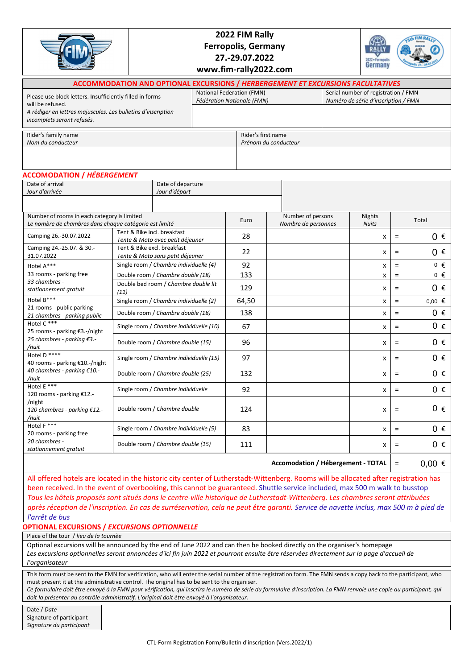|                                                                                                                                                                            |                                                                                        | 2022 FIM Rally<br><b>Ferropolis, Germany</b><br>27.-29.07.2022<br>www.fim-rally2022.com |                                                         |                                            |                                          |  |                               | 2022 · Ferropalis<br>Germany                                               |          |         |  |
|----------------------------------------------------------------------------------------------------------------------------------------------------------------------------|----------------------------------------------------------------------------------------|-----------------------------------------------------------------------------------------|---------------------------------------------------------|--------------------------------------------|------------------------------------------|--|-------------------------------|----------------------------------------------------------------------------|----------|---------|--|
|                                                                                                                                                                            | <b>ACCOMMODATION AND OPTIONAL EXCURSIONS / HERBERGEMENT ET EXCURSIONS FACULTATIVES</b> |                                                                                         |                                                         |                                            |                                          |  |                               |                                                                            |          |         |  |
| Please use block letters. Insufficiently filled in forms<br>will be refused.<br>A rédiger en lettres majuscules. Les bulletins d'inscription<br>incomplets seront refusés. |                                                                                        |                                                                                         | National Federation (FMN)<br>Fédération Nationale (FMN) |                                            |                                          |  |                               | Serial number of registration / FMN<br>Numéro de série d'inscription / FMN |          |         |  |
|                                                                                                                                                                            |                                                                                        |                                                                                         |                                                         |                                            |                                          |  |                               |                                                                            |          |         |  |
| Rider's family name<br>Nom du conducteur                                                                                                                                   |                                                                                        |                                                                                         |                                                         | Rider's first name<br>Prénom du conducteur |                                          |  |                               |                                                                            |          |         |  |
|                                                                                                                                                                            |                                                                                        |                                                                                         |                                                         |                                            |                                          |  |                               |                                                                            |          |         |  |
| <b>ACCOMODATION / HÉBERGEMENT</b>                                                                                                                                          |                                                                                        |                                                                                         |                                                         |                                            |                                          |  |                               |                                                                            |          |         |  |
| Date of arrival<br>Date of departure<br>Jour d'arrivée<br>Jour d'départ                                                                                                    |                                                                                        |                                                                                         |                                                         |                                            |                                          |  |                               |                                                                            |          |         |  |
| Number of rooms in each category is limited<br>Le nombre de chambres dans chaque catégorie est limité                                                                      |                                                                                        |                                                                                         | Euro                                                    |                                            | Number of persons<br>Nombre de personnes |  | <b>Nights</b><br><b>Nuits</b> |                                                                            | Total    |         |  |
| Camping 26.-30.07.2022                                                                                                                                                     |                                                                                        | Tent & Bike incl. breakfast<br>Tente & Moto avec petit déjeuner                         |                                                         | 28                                         |                                          |  |                               | x                                                                          | Ξ        | 0€      |  |
| Camping 24.-25.07. & 30.-<br>31.07.2022                                                                                                                                    |                                                                                        | Tent & Bike excl. breakfast<br>Tente & Moto sans petit déjeuner                         |                                                         |                                            |                                          |  |                               | x                                                                          | $=$      | $0 \in$ |  |
| Hotel A***                                                                                                                                                                 |                                                                                        | Single room / Chambre individuelle (4)                                                  |                                                         |                                            |                                          |  |                               | x                                                                          | $\equiv$ | $0 \in$ |  |
| 33 rooms - parking free                                                                                                                                                    |                                                                                        | Double room / Chambre double (18)                                                       |                                                         |                                            |                                          |  |                               | x                                                                          | $=$      | $0 \in$ |  |

 $(11)$   $x = 0$  **c**  $\infty$  129  $\infty$  **129**  $\infty$  **129**  $\infty$  **129**  $\infty$  **129**  $\infty$  **129**  $\infty$  **129**  $\infty$  **129**  $\infty$  **129**  $\infty$  **129 120 120 120 120 120 120 120 120 120 120 120 120 120 120**

Single room / *Chambre individuelle (2)* 64,50  $\times$   $\times$   $\cdot$ Double room / *Chambre double (18)* 138 x = €

Single room / *Chambre individuelle (10)* 67 x = € Double room / *Chambre double (15)* 96 x = €

 $\text{Single room } / \text{ Chamber } \text{indiv}$  *(a) Chambre individuelle (15)* **97**  $\vert$  **2008 Example 10 Example 10 Example 10 Example 10 Example 10 Example 10 Example 10 Example 10 Example 10 Example 10 Example 10 Example** 

Double room / *Chambre double (25)* 132  $\vert x \vert =$ 

Single room / *Chambre individuelle* 92 x = €

Double room / *Chambre double*  $\begin{vmatrix} 1 & 2 & 1 \\ 0 & 1 & 2 \end{vmatrix}$  x  $\begin{vmatrix} 1 & 2 & 3 \\ 0 & 1 & 1 \end{vmatrix}$  x  $\begin{vmatrix} 1 & 3 & 4 \\ 2 & 1 & 3 \end{vmatrix}$ 

Single room / *Chambre individuelle (5)* 83 x = € Double room / *Chambre double (15)* 111  $\vert$  **111**  $\vert$  **x**  $\vert$  =

Accomodation / Hébergement - TOTAL =

 $0 \in$  $0.00$  €  $0 \in$  $0 f$ 

> $0 \in$  $0 \in$  $0 \in$

 $0 \in$ 

 $0 \in$ 

 $0 \in$  $0 \in$ 

 $0.00 \in$ 

| Date / Date              |
|--------------------------|
| Signature of participant |
| Signature du participant |
|                          |

## *l'arrêt de bus* **OPTIONAL EXCURSIONS /** *EXCURSIONS OPTIONNELLE*

Double bed room / *Chambre double lit* 

Place of the tour / *lieu de la tournèe*

*33 chambres stationnement gratuit*

21 rooms - public parking *21 chambres* - *parking public*

25 rooms - parking €3.-/night *25 chambres* - *parking €3.-*

40 rooms - parking €10.-/night *40 chambres* - *parking €10.-*

120 rooms - parking €12.-

20 rooms - parking free *20 chambres stationnement gratuit* 

*120 chambres* - *parking €12.-*

Hotel B\*\*\*

Hotel C \*\*\*

Hotel D \*\*\*\*

Hotel E \*\*\*

Hotel F \*\*\*

*/nuit*

*/nuit*

/night

*/nuit*

Optional excursions will be announced by the end of June 2022 and can then be booked directly on the organiser's homepage *Les excursions optionnelles seront annoncées d'ici fin juin 2022 et pourront ensuite être réservées directement sur la page d'accueil de l'organisateur*

This form must be sent to the FMN for verification, who will enter the serial number of the registration form. The FMN sends a copy back to the participant, who must present it at the administrative control. The original has to be sent to the organiser.

All offered hotels are located in the historic city center of Lutherstadt-Wittenberg. Rooms will be allocated after registration has been received. In the event of overbooking, this cannot be guaranteed. Shuttle service included, max 500 m walk to busstop *Tous les hôtels proposés sont situés dans le centre-ville historique de Lutherstadt-Wittenberg. Les chambres seront attribuées après réception de l'inscription. En cas de surréservation, cela ne peut être garanti. Service de navette inclus, max 500 m à pied de* 

*Ce formulaire doit être envoyé à la FMN pour vérification, qui inscrira le numéro de série du formulaire d'inscription. La FMN renvoie une copie au participant, qui doit la présenter au contrôle administratif. L'original doit être envoyé à l'organisateur.*

Date / *Date*